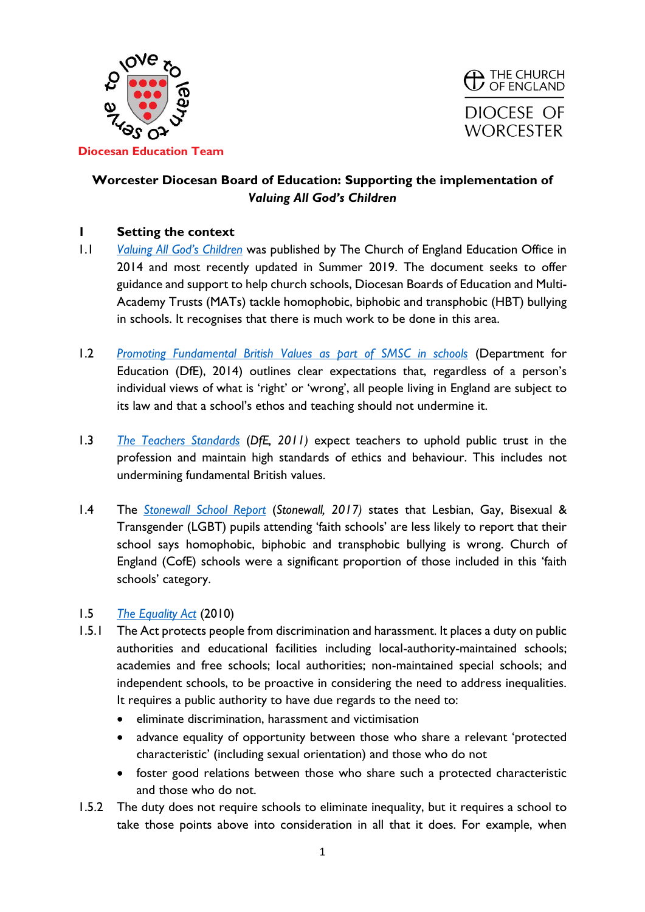



# **Worcester Diocesan Board of Education: Supporting the implementation of**  *Valuing All God's Children*

## **1 Setting the context**

- 1.1 *[Valuing All God's Children](https://www.churchofengland.org/sites/default/files/2019-07/Valuing%20All%20God%27s%20Children%20July%202019_0.pdf)* was published by The Church of England Education Office in 2014 and most recently updated in Summer 2019. The document seeks to offer guidance and support to help church schools, Diocesan Boards of Education and Multi-Academy Trusts (MATs) tackle homophobic, biphobic and transphobic (HBT) bullying in schools. It recognises that there is much work to be done in this area.
- 1.2 *[Promoting Fundamental British Values as part of SMSC in schools](https://assets.publishing.service.gov.uk/government/uploads/system/uploads/attachment_data/file/380595/SMSC_Guidance_Maintained_Schools.pdf)* (Department for Education (DfE), 2014) outlines clear expectations that, regardless of a person's individual views of what is 'right' or 'wrong', all people living in England are subject to its law and that a school's ethos and teaching should not undermine it.
- 1.3 *[The Teachers Standards](https://assets.publishing.service.gov.uk/government/uploads/system/uploads/attachment_data/file/665520/Teachers__Standards.pdf)* (*DfE, 2011)* expect teachers to uphold public trust in the profession and maintain high standards of ethics and behaviour. This includes not undermining fundamental British values.
- 1.4 The *[Stonewall School Report](https://www.stonewall.org.uk/system/files/the_school_report_2017.pdf)* (*Stonewall, 2017)* states that Lesbian, Gay, Bisexual & Transgender (LGBT) pupils attending 'faith schools' are less likely to report that their school says homophobic, biphobic and transphobic bullying is wrong. Church of England (CofE) schools were a significant proportion of those included in this 'faith schools' category.

## 1.5 *[The Equality Act](https://www.legislation.gov.uk/ukpga/2010/15/contents)* (2010)

- 1.5.1 The Act protects people from discrimination and harassment. It places a duty on public authorities and educational facilities including local-authority-maintained schools; academies and free schools; local authorities; non-maintained special schools; and independent schools, to be proactive in considering the need to address inequalities. It requires a public authority to have due regards to the need to:
	- eliminate discrimination, harassment and victimisation
	- advance equality of opportunity between those who share a relevant 'protected characteristic' (including sexual orientation) and those who do not
	- foster good relations between those who share such a protected characteristic and those who do not.
- 1.5.2 The duty does not require schools to eliminate inequality, but it requires a school to take those points above into consideration in all that it does. For example, when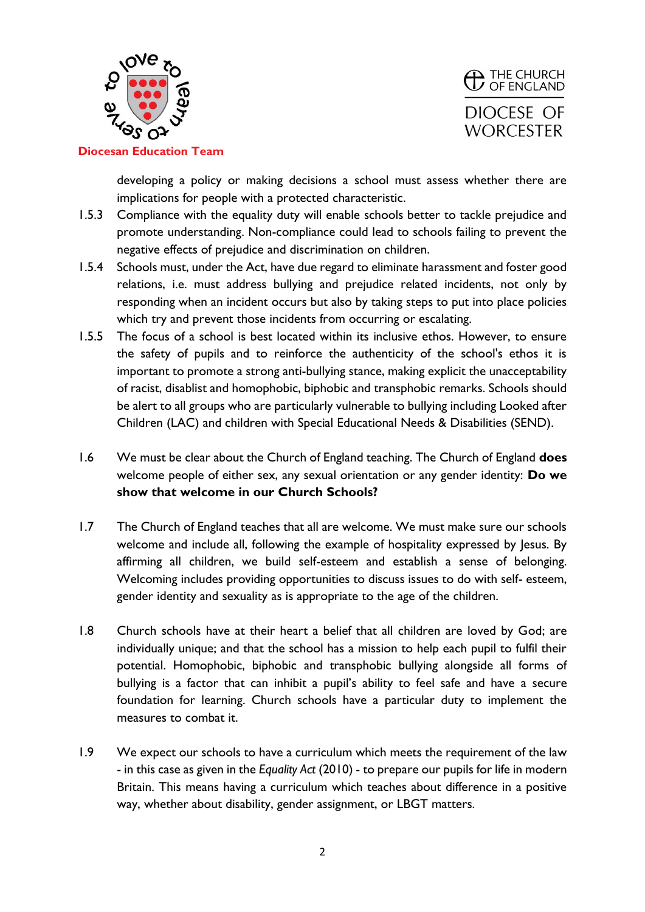



developing a policy or making decisions a school must assess whether there are implications for people with a protected characteristic.

- 1.5.3 Compliance with the equality duty will enable schools better to tackle prejudice and promote understanding. Non-compliance could lead to schools failing to prevent the negative effects of prejudice and discrimination on children.
- 1.5.4 Schools must, under the Act, have due regard to eliminate harassment and foster good relations, i.e. must address bullying and prejudice related incidents, not only by responding when an incident occurs but also by taking steps to put into place policies which try and prevent those incidents from occurring or escalating.
- 1.5.5 The focus of a school is best located within its inclusive ethos. However, to ensure the safety of pupils and to reinforce the authenticity of the school's ethos it is important to promote a strong anti-bullying stance, making explicit the unacceptability of racist, disablist and homophobic, biphobic and transphobic remarks. Schools should be alert to all groups who are particularly vulnerable to bullying including Looked after Children (LAC) and children with Special Educational Needs & Disabilities (SEND).
- 1.6 We must be clear about the Church of England teaching. The Church of England **does**  welcome people of either sex, any sexual orientation or any gender identity: **Do we show that welcome in our Church Schools?**
- 1.7 The Church of England teaches that all are welcome. We must make sure our schools welcome and include all, following the example of hospitality expressed by Jesus. By affirming all children, we build self-esteem and establish a sense of belonging. Welcoming includes providing opportunities to discuss issues to do with self- esteem, gender identity and sexuality as is appropriate to the age of the children.
- 1.8 Church schools have at their heart a belief that all children are loved by God; are individually unique; and that the school has a mission to help each pupil to fulfil their potential. Homophobic, biphobic and transphobic bullying alongside all forms of bullying is a factor that can inhibit a pupil's ability to feel safe and have a secure foundation for learning. Church schools have a particular duty to implement the measures to combat it.
- 1.9 We expect our schools to have a curriculum which meets the requirement of the law - in this case as given in the *Equality Act* (2010) - to prepare our pupils for life in modern Britain. This means having a curriculum which teaches about difference in a positive way, whether about disability, gender assignment, or LBGT matters.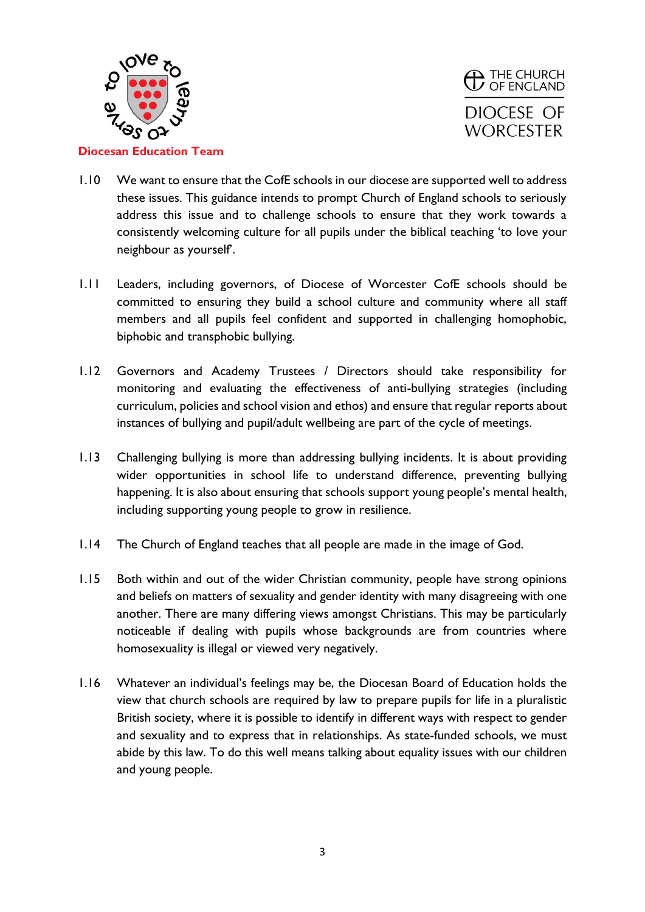



- 1.10 We want to ensure that the CofE schools in our diocese are supported well to address these issues. This guidance intends to prompt Church of England schools to seriously address this issue and to challenge schools to ensure that they work towards a consistently welcoming culture for all pupils under the biblical teaching 'to love your neighbour as yourself'.
- 1.11 Leaders, including governors, of Diocese of Worcester CofE schools should be committed to ensuring they build a school culture and community where all staff members and all pupils feel confident and supported in challenging homophobic, biphobic and transphobic bullying.
- 1.12 Governors and Academy Trustees / Directors should take responsibility for monitoring and evaluating the effectiveness of anti-bullying strategies (including curriculum, policies and school vision and ethos) and ensure that regular reports about instances of bullying and pupil/adult wellbeing are part of the cycle of meetings.
- 1.13 Challenging bullying is more than addressing bullying incidents. It is about providing wider opportunities in school life to understand difference, preventing bullying happening. It is also about ensuring that schools support young people's mental health, including supporting young people to grow in resilience.
- 1.14 The Church of England teaches that all people are made in the image of God.
- 1.15 Both within and out of the wider Christian community, people have strong opinions and beliefs on matters of sexuality and gender identity with many disagreeing with one another. There are many differing views amongst Christians. This may be particularly noticeable if dealing with pupils whose backgrounds are from countries where homosexuality is illegal or viewed very negatively.
- 1.16 Whatever an individual's feelings may be, the Diocesan Board of Education holds the view that church schools are required by law to prepare pupils for life in a pluralistic British society, where it is possible to identify in different ways with respect to gender and sexuality and to express that in relationships. As state-funded schools, we must abide by this law. To do this well means talking about equality issues with our children and young people.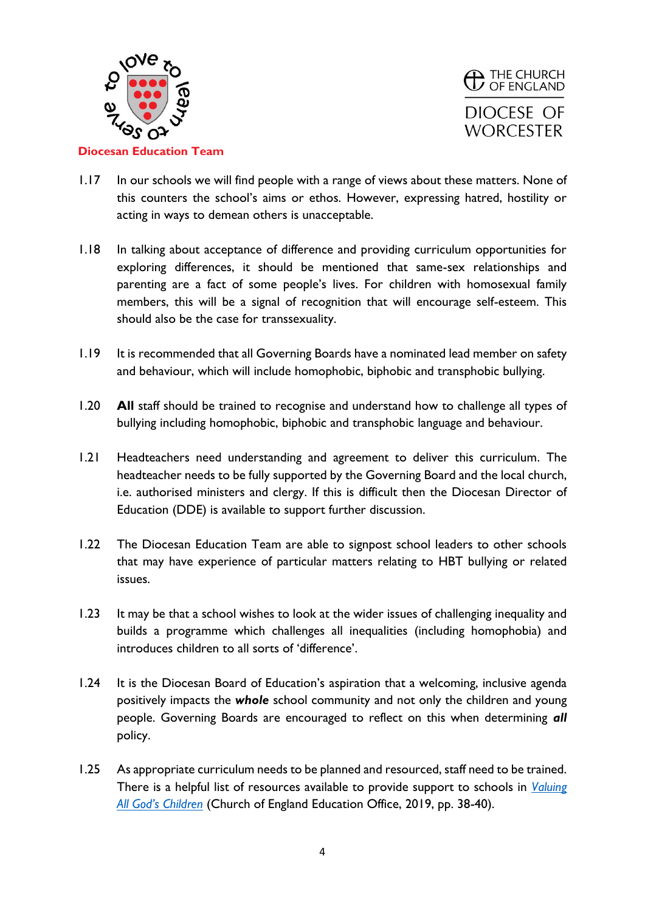



- 1.17 In our schools we will find people with a range of views about these matters. None of this counters the school's aims or ethos. However, expressing hatred, hostility or acting in ways to demean others is unacceptable.
- 1.18 In talking about acceptance of difference and providing curriculum opportunities for exploring differences, it should be mentioned that same-sex relationships and parenting are a fact of some people's lives. For children with homosexual family members, this will be a signal of recognition that will encourage self-esteem. This should also be the case for transsexuality.
- 1.19 It is recommended that all Governing Boards have a nominated lead member on safety and behaviour, which will include homophobic, biphobic and transphobic bullying.
- 1.20 **All** staff should be trained to recognise and understand how to challenge all types of bullying including homophobic, biphobic and transphobic language and behaviour.
- 1.21 Headteachers need understanding and agreement to deliver this curriculum. The headteacher needs to be fully supported by the Governing Board and the local church, i.e. authorised ministers and clergy. If this is difficult then the Diocesan Director of Education (DDE) is available to support further discussion.
- 1.22 The Diocesan Education Team are able to signpost school leaders to other schools that may have experience of particular matters relating to HBT bullying or related issues.
- 1.23 It may be that a school wishes to look at the wider issues of challenging inequality and builds a programme which challenges all inequalities (including homophobia) and introduces children to all sorts of 'difference'.
- 1.24 It is the Diocesan Board of Education's aspiration that a welcoming, inclusive agenda positively impacts the *whole* school community and not only the children and young people. Governing Boards are encouraged to reflect on this when determining *all*  policy.
- 1.25 As appropriate curriculum needs to be planned and resourced, staff need to be trained. There is a helpful list of resources available to provide support to schools in *[Valuing](https://www.churchofengland.org/sites/default/files/2019-07/Valuing%20All%20God%27s%20Children%20July%202019_0.pdf)  [All God's Children](https://www.churchofengland.org/sites/default/files/2019-07/Valuing%20All%20God%27s%20Children%20July%202019_0.pdf)* (Church of England Education Office, 2019, pp. 38-40).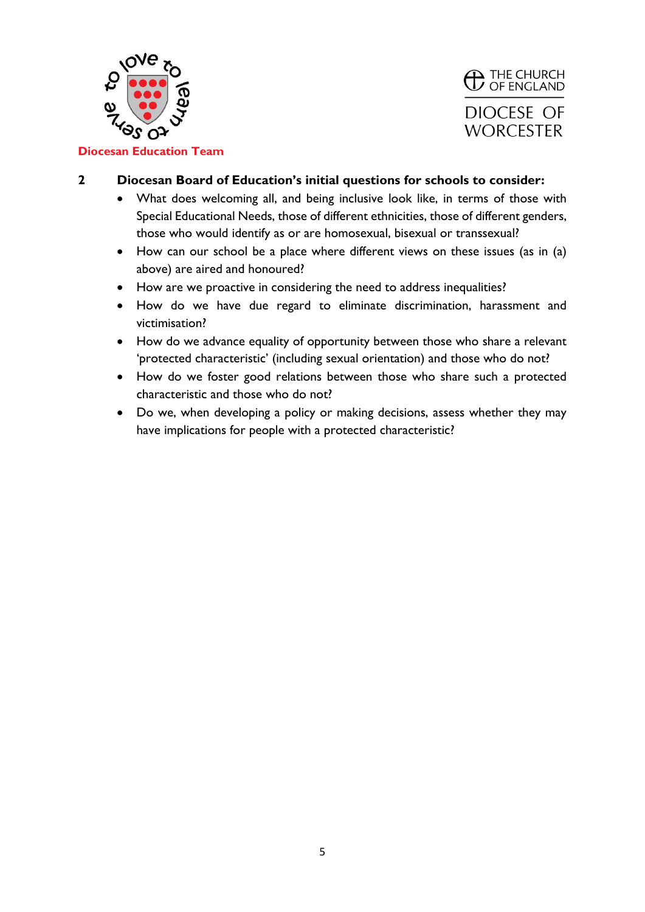



## **2 Diocesan Board of Education's initial questions for schools to consider:**

- What does welcoming all, and being inclusive look like, in terms of those with Special Educational Needs, those of different ethnicities, those of different genders, those who would identify as or are homosexual, bisexual or transsexual?
- How can our school be a place where different views on these issues (as in (a) above) are aired and honoured?
- How are we proactive in considering the need to address inequalities?
- How do we have due regard to eliminate discrimination, harassment and victimisation?
- How do we advance equality of opportunity between those who share a relevant 'protected characteristic' (including sexual orientation) and those who do not?
- How do we foster good relations between those who share such a protected characteristic and those who do not?
- Do we, when developing a policy or making decisions, assess whether they may have implications for people with a protected characteristic?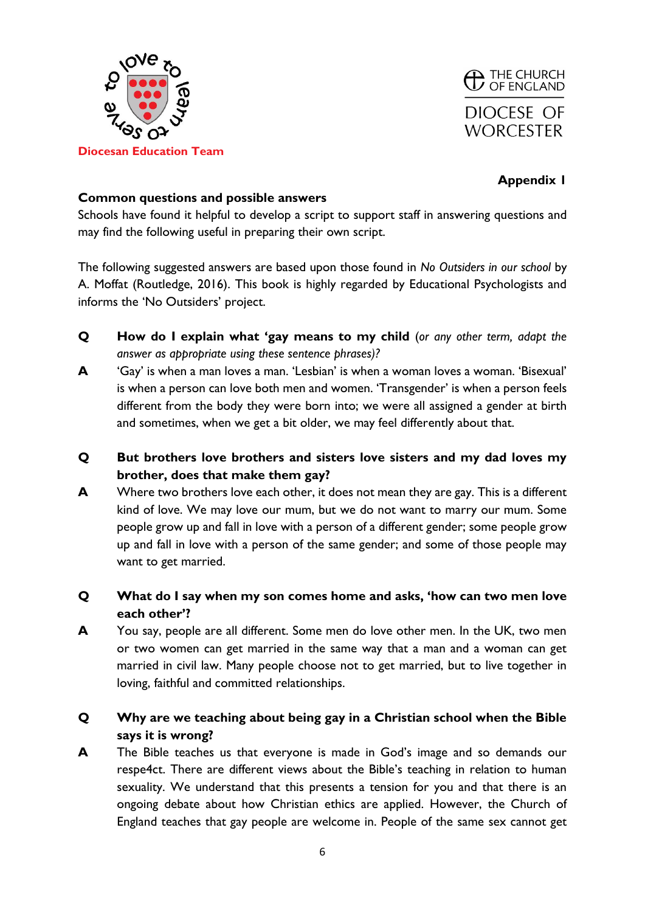



## **Common questions and possible answers**

Schools have found it helpful to develop a script to support staff in answering questions and may find the following useful in preparing their own script.

The following suggested answers are based upon those found in *No Outsiders in our school* by A. Moffat (Routledge, 2016). This book is highly regarded by Educational Psychologists and informs the 'No Outsiders' project.

- **Q How do I explain what 'gay means to my child** (*or any other term, adapt the answer as appropriate using these sentence phrases)?*
- **A** 'Gay' is when a man loves a man. 'Lesbian' is when a woman loves a woman. 'Bisexual' is when a person can love both men and women. 'Transgender' is when a person feels different from the body they were born into; we were all assigned a gender at birth and sometimes, when we get a bit older, we may feel differently about that.
- **Q But brothers love brothers and sisters love sisters and my dad loves my brother, does that make them gay?**
- **A** Where two brothers love each other, it does not mean they are gay. This is a different kind of love. We may love our mum, but we do not want to marry our mum. Some people grow up and fall in love with a person of a different gender; some people grow up and fall in love with a person of the same gender; and some of those people may want to get married.
- **Q What do I say when my son comes home and asks, 'how can two men love each other'?**
- **A** You say, people are all different. Some men do love other men. In the UK, two men or two women can get married in the same way that a man and a woman can get married in civil law. Many people choose not to get married, but to live together in loving, faithful and committed relationships.

## **Q Why are we teaching about being gay in a Christian school when the Bible says it is wrong?**

**A** The Bible teaches us that everyone is made in God's image and so demands our respe4ct. There are different views about the Bible's teaching in relation to human sexuality. We understand that this presents a tension for you and that there is an ongoing debate about how Christian ethics are applied. However, the Church of England teaches that gay people are welcome in. People of the same sex cannot get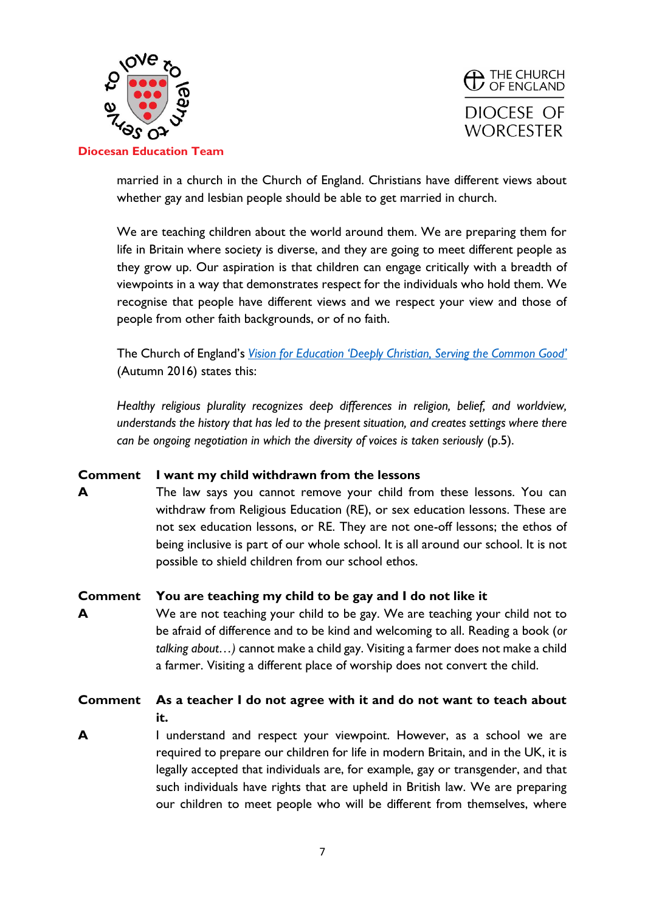



married in a church in the Church of England. Christians have different views about whether gay and lesbian people should be able to get married in church.

We are teaching children about the world around them. We are preparing them for life in Britain where society is diverse, and they are going to meet different people as they grow up. Our aspiration is that children can engage critically with a breadth of viewpoints in a way that demonstrates respect for the individuals who hold them. We recognise that people have different views and we respect your view and those of people from other faith backgrounds, or of no faith.

The Church of England's *[Vision for Education 'Deeply Christian, Serving the Common Good'](https://d3hgrlq6yacptf.cloudfront.net/5f2144e1c592d/content/pages/documents/1594051766.pdf)* (Autumn 2016) states this:

*Healthy religious plurality recognizes deep differences in religion, belief, and worldview, understands the history that has led to the present situation, and creates settings where there can be ongoing negotiation in which the diversity of voices is taken seriously (p.5).* 

## **Comment I want my child withdrawn from the lessons**

**A** The law says you cannot remove your child from these lessons. You can withdraw from Religious Education (RE), or sex education lessons. These are not sex education lessons, or RE. They are not one-off lessons; the ethos of being inclusive is part of our whole school. It is all around our school. It is not possible to shield children from our school ethos.

## **Comment You are teaching my child to be gay and I do not like it**

**A** We are not teaching your child to be gay. We are teaching your child not to be afraid of difference and to be kind and welcoming to all. Reading a book (*or talking about…)* cannot make a child gay. Visiting a farmer does not make a child a farmer. Visiting a different place of worship does not convert the child.

# **Comment As a teacher I do not agree with it and do not want to teach about it.**

**A** I understand and respect your viewpoint. However, as a school we are required to prepare our children for life in modern Britain, and in the UK, it is legally accepted that individuals are, for example, gay or transgender, and that such individuals have rights that are upheld in British law. We are preparing our children to meet people who will be different from themselves, where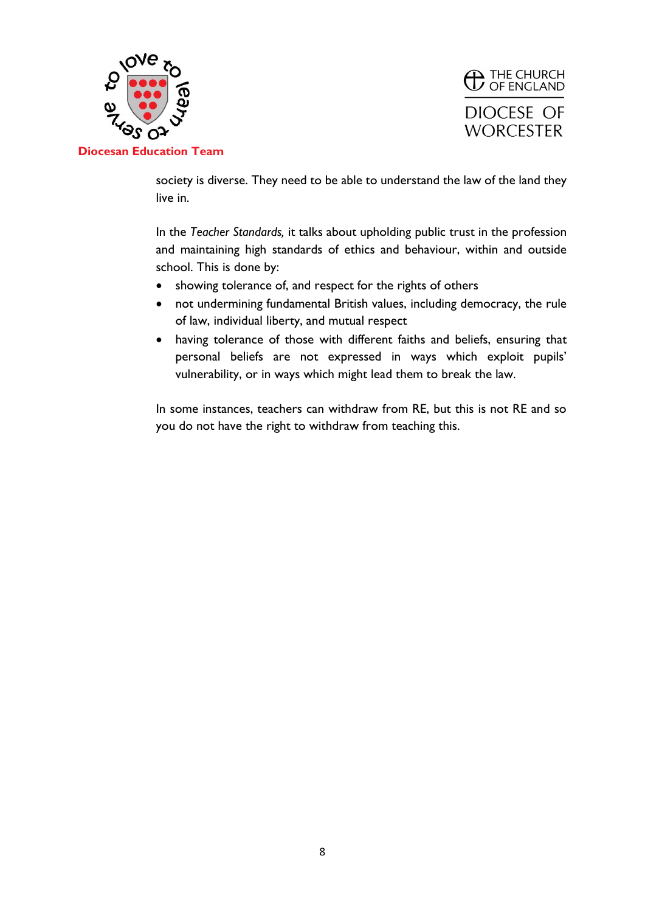



society is diverse. They need to be able to understand the law of the land they live in.

In the *Teacher Standards,* it talks about upholding public trust in the profession and maintaining high standards of ethics and behaviour, within and outside school. This is done by:

- showing tolerance of, and respect for the rights of others
- not undermining fundamental British values, including democracy, the rule of law, individual liberty, and mutual respect
- having tolerance of those with different faiths and beliefs, ensuring that personal beliefs are not expressed in ways which exploit pupils' vulnerability, or in ways which might lead them to break the law.

In some instances, teachers can withdraw from RE, but this is not RE and so you do not have the right to withdraw from teaching this.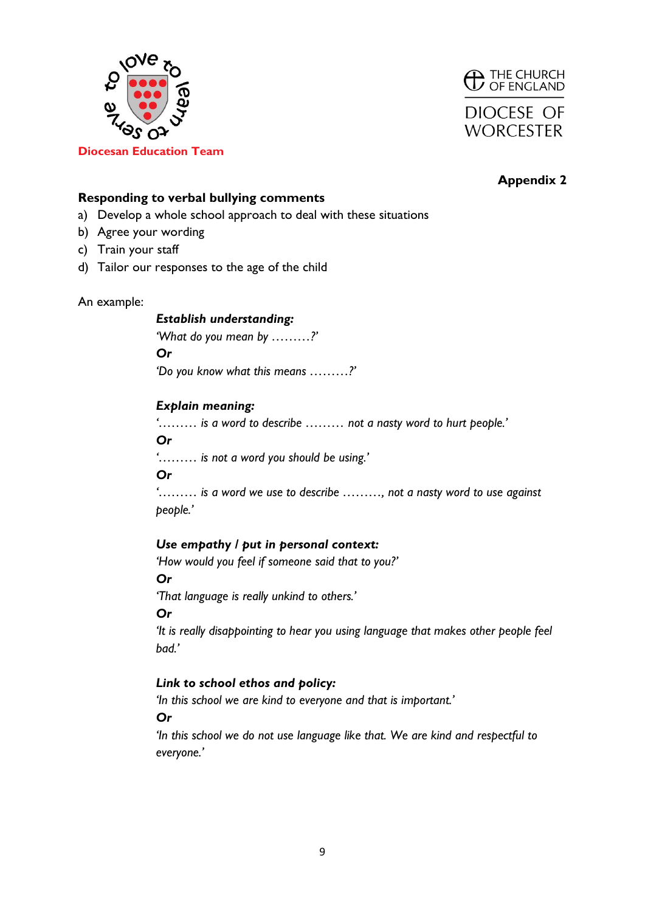



## **Responding to verbal bullying comments**

- a) Develop a whole school approach to deal with these situations
- b) Agree your wording
- c) Train your staff
- d) Tailor our responses to the age of the child

#### An example:

#### *Establish understanding:*

*'What do you mean by ………?' Or 'Do you know what this means ………?'*

## *Explain meaning:*

*'……… is a word to describe ……… not a nasty word to hurt people.'*

#### *Or*

*'……… is not a word you should be using.'*

*Or*

*'……… is a word we use to describe ………, not a nasty word to use against people.'*

## *Use empathy / put in personal context:*

*'How would you feel if someone said that to you?'*

*Or*

*'That language is really unkind to others.'*

#### *Or*

*'It is really disappointing to hear you using language that makes other people feel bad.'*

## *Link to school ethos and policy:*

*'In this school we are kind to everyone and that is important.'*

*Or* 

*'In this school we do not use language like that. We are kind and respectful to everyone.'*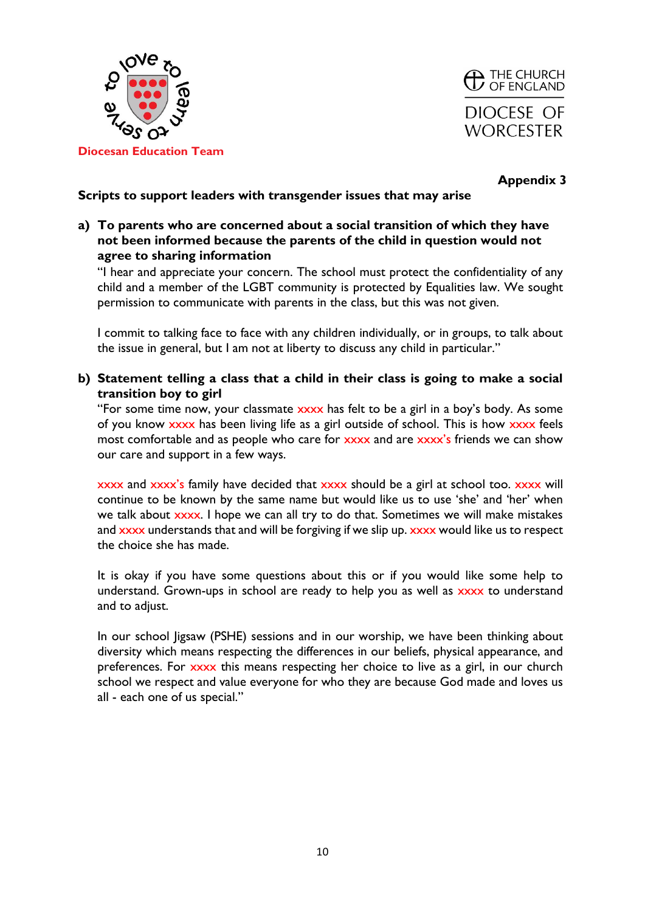



## **Scripts to support leaders with transgender issues that may arise**

**a) To parents who are concerned about a social transition of which they have not been informed because the parents of the child in question would not agree to sharing information**

"I hear and appreciate your concern. The school must protect the confidentiality of any child and a member of the LGBT community is protected by Equalities law. We sought permission to communicate with parents in the class, but this was not given.

I commit to talking face to face with any children individually, or in groups, to talk about the issue in general, but I am not at liberty to discuss any child in particular."

**b) Statement telling a class that a child in their class is going to make a social transition boy to girl**

"For some time now, your classmate xxxx has felt to be a girl in a boy's body. As some of you know xxxx has been living life as a girl outside of school. This is how xxxx feels most comfortable and as people who care for xxxx and are xxxx's friends we can show our care and support in a few ways.

xxxx and xxxx's family have decided that xxxx should be a girl at school too. xxxx will continue to be known by the same name but would like us to use 'she' and 'her' when we talk about xxxx. I hope we can all try to do that. Sometimes we will make mistakes and xxxx understands that and will be forgiving if we slip up. xxxx would like us to respect the choice she has made.

It is okay if you have some questions about this or if you would like some help to understand. Grown-ups in school are ready to help you as well as xxxx to understand and to adjust.

In our school Jigsaw (PSHE) sessions and in our worship, we have been thinking about diversity which means respecting the differences in our beliefs, physical appearance, and preferences. For xxxx this means respecting her choice to live as a girl, in our church school we respect and value everyone for who they are because God made and loves us all - each one of us special."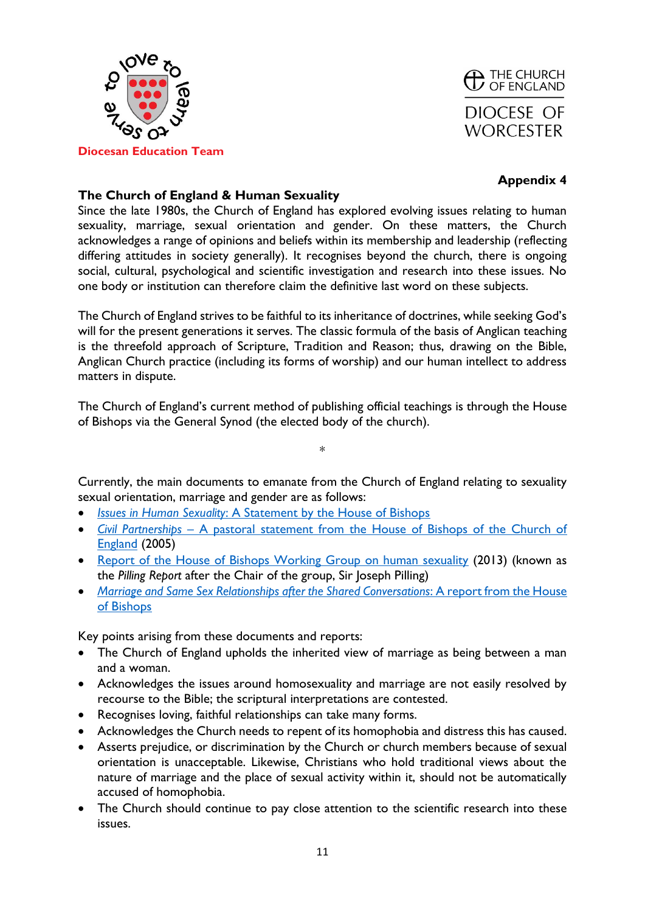



## **The Church of England & Human Sexuality**

Since the late 1980s, the Church of England has explored evolving issues relating to human sexuality, marriage, sexual orientation and gender. On these matters, the Church acknowledges a range of opinions and beliefs within its membership and leadership (reflecting differing attitudes in society generally). It recognises beyond the church, there is ongoing social, cultural, psychological and scientific investigation and research into these issues. No one body or institution can therefore claim the definitive last word on these subjects.

The Church of England strives to be faithful to its inheritance of doctrines, while seeking God's will for the present generations it serves. The classic formula of the basis of Anglican teaching is the threefold approach of Scripture, Tradition and Reason; thus, drawing on the Bible, Anglican Church practice (including its forms of worship) and our human intellect to address matters in dispute.

The Church of England's current method of publishing official teachings is through the House of Bishops via the General Synod (the elected body of the church).

\*

Currently, the main documents to emanate from the Church of England relating to sexuality sexual orientation, marriage and gender are as follows:

- *Issues in Human Sexuality*[: A Statement by the House of Bishops](https://www.churchofengland.org/sites/default/files/2017-%2010/issues_in_human_sexuality.pdf))
- *Civil Partnerships* [A pastoral statement from the House of Bishops of the Church of](https://www.churchofengland.org/sites/default/files/2017-11/House%20of%20Bishops%20Statement%20on%20Civil%20Partnerships%202005.pdf)  [England](https://www.churchofengland.org/sites/default/files/2017-11/House%20of%20Bishops%20Statement%20on%20Civil%20Partnerships%202005.pdf) (2005)
- [Report of the House of Bishops Working Group on human sexuality](https://www.churchofengland.org/sites/default/files/2018-10/gs1406-the%20way%20ahead%20-%20church%20of%20england%20schools%20in%20the%20new%20millennium.pdf) (2013) (known as the *Pilling Report* after the Chair of the group, Sir Joseph Pilling)
- *[Marriage and Same Sex Relationships after the Shared Conversations](http://www.tgdr.co.uk/documents/229P-GS2055.pdf)*: A report from the House [of Bishops](http://www.tgdr.co.uk/documents/229P-GS2055.pdf)

Key points arising from these documents and reports:

- The Church of England upholds the inherited view of marriage as being between a man and a woman.
- Acknowledges the issues around homosexuality and marriage are not easily resolved by recourse to the Bible; the scriptural interpretations are contested.
- Recognises loving, faithful relationships can take many forms.
- Acknowledges the Church needs to repent of its homophobia and distress this has caused.
- Asserts prejudice, or discrimination by the Church or church members because of sexual orientation is unacceptable. Likewise, Christians who hold traditional views about the nature of marriage and the place of sexual activity within it, should not be automatically accused of homophobia.
- The Church should continue to pay close attention to the scientific research into these issues.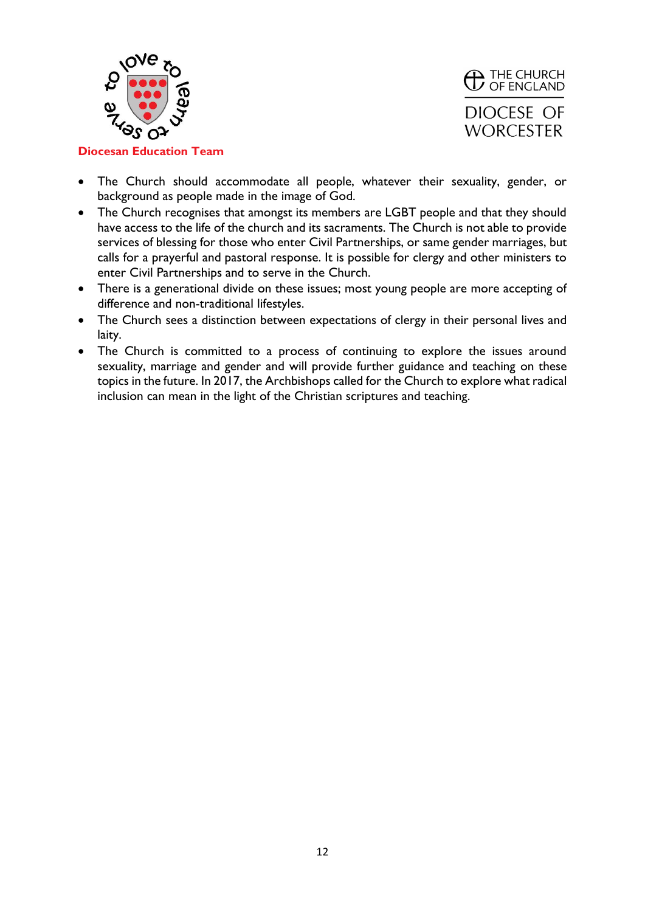



**Diocesan Education Team**

- The Church should accommodate all people, whatever their sexuality, gender, or background as people made in the image of God.
- The Church recognises that amongst its members are LGBT people and that they should have access to the life of the church and its sacraments. The Church is not able to provide services of blessing for those who enter Civil Partnerships, or same gender marriages, but calls for a prayerful and pastoral response. It is possible for clergy and other ministers to enter Civil Partnerships and to serve in the Church.
- There is a generational divide on these issues; most young people are more accepting of difference and non-traditional lifestyles.
- The Church sees a distinction between expectations of clergy in their personal lives and laity.
- The Church is committed to a process of continuing to explore the issues around sexuality, marriage and gender and will provide further guidance and teaching on these topics in the future. In 2017, the Archbishops called for the Church to explore what radical inclusion can mean in the light of the Christian scriptures and teaching.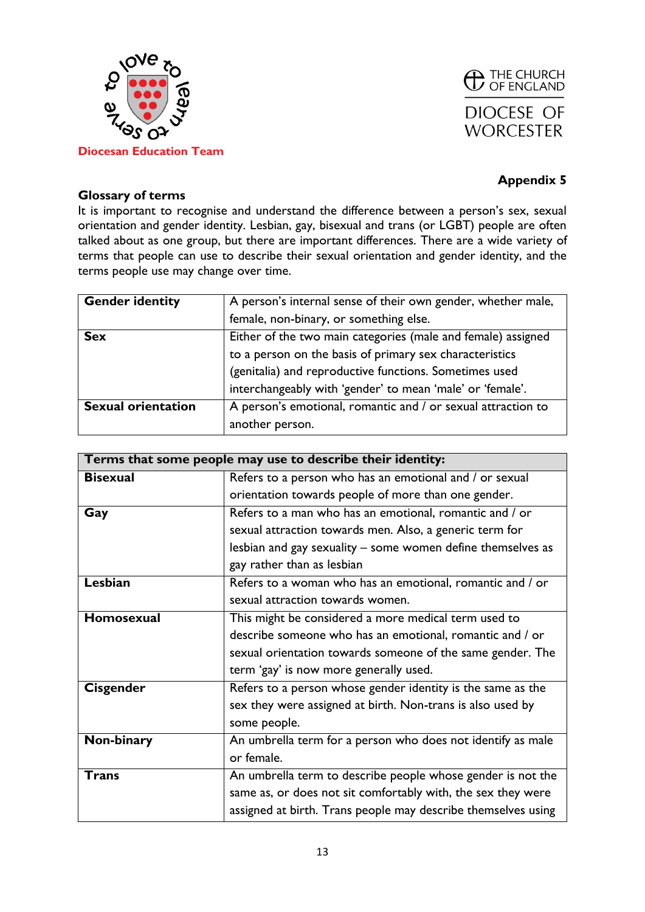



### **Glossary of terms**

It is important to recognise and understand the difference between a person's sex, sexual orientation and gender identity. Lesbian, gay, bisexual and trans (or LGBT) people are often talked about as one group, but there are important differences. There are a wide variety of terms that people can use to describe their sexual orientation and gender identity, and the terms people use may change over time.

| <b>Gender identity</b>    | A person's internal sense of their own gender, whether male, |
|---------------------------|--------------------------------------------------------------|
|                           | female, non-binary, or something else.                       |
| <b>Sex</b>                | Either of the two main categories (male and female) assigned |
|                           | to a person on the basis of primary sex characteristics      |
|                           | (genitalia) and reproductive functions. Sometimes used       |
|                           | interchangeably with 'gender' to mean 'male' or 'female'.    |
| <b>Sexual orientation</b> | A person's emotional, romantic and / or sexual attraction to |
|                           | another person.                                              |

| Terms that some people may use to describe their identity: |                                                               |  |
|------------------------------------------------------------|---------------------------------------------------------------|--|
| <b>Bisexual</b>                                            | Refers to a person who has an emotional and / or sexual       |  |
|                                                            | orientation towards people of more than one gender.           |  |
| Gay                                                        | Refers to a man who has an emotional, romantic and / or       |  |
|                                                            | sexual attraction towards men. Also, a generic term for       |  |
|                                                            | lesbian and gay sexuality – some women define themselves as   |  |
|                                                            | gay rather than as lesbian                                    |  |
| Lesbian                                                    | Refers to a woman who has an emotional, romantic and / or     |  |
|                                                            | sexual attraction towards women.                              |  |
| <b>Homosexual</b>                                          | This might be considered a more medical term used to          |  |
|                                                            | describe someone who has an emotional, romantic and / or      |  |
|                                                            | sexual orientation towards someone of the same gender. The    |  |
|                                                            | term 'gay' is now more generally used.                        |  |
| <b>Cisgender</b>                                           | Refers to a person whose gender identity is the same as the   |  |
|                                                            | sex they were assigned at birth. Non-trans is also used by    |  |
|                                                            | some people.                                                  |  |
| Non-binary                                                 | An umbrella term for a person who does not identify as male   |  |
|                                                            | or female.                                                    |  |
| <b>Trans</b>                                               | An umbrella term to describe people whose gender is not the   |  |
|                                                            | same as, or does not sit comfortably with, the sex they were  |  |
|                                                            | assigned at birth. Trans people may describe themselves using |  |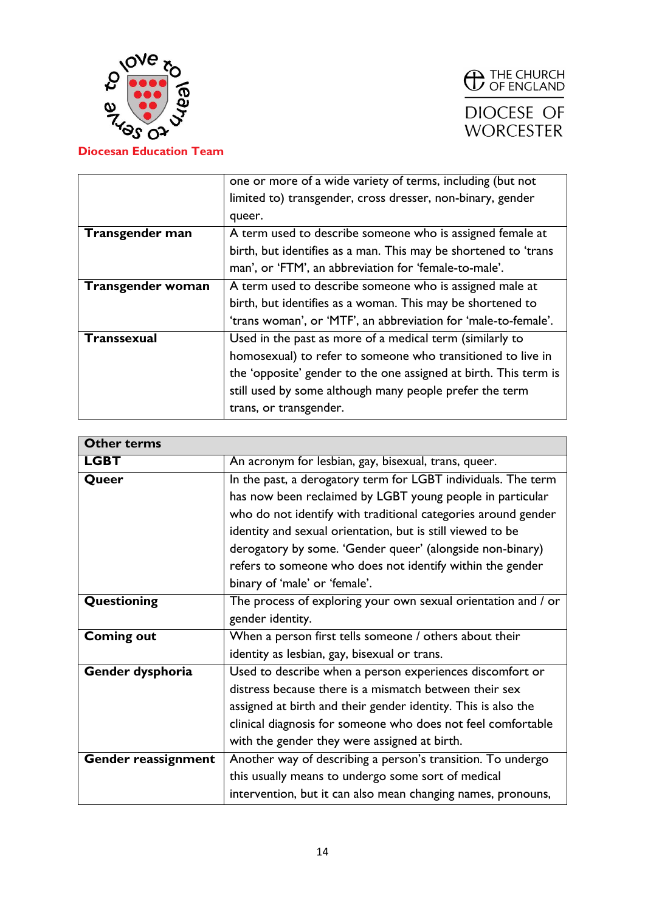



|                    | one or more of a wide variety of terms, including (but not       |
|--------------------|------------------------------------------------------------------|
|                    | limited to) transgender, cross dresser, non-binary, gender       |
|                    | queer.                                                           |
| Transgender man    | A term used to describe someone who is assigned female at        |
|                    | birth, but identifies as a man. This may be shortened to 'trans  |
|                    | man', or 'FTM', an abbreviation for 'female-to-male'.            |
| Transgender woman  | A term used to describe someone who is assigned male at          |
|                    | birth, but identifies as a woman. This may be shortened to       |
|                    | 'trans woman', or 'MTF', an abbreviation for 'male-to-female'.   |
| <b>Transsexual</b> | Used in the past as more of a medical term (similarly to         |
|                    | homosexual) to refer to someone who transitioned to live in      |
|                    | the 'opposite' gender to the one assigned at birth. This term is |
|                    | still used by some although many people prefer the term          |
|                    | trans, or transgender.                                           |

| <b>Other terms</b>  |                                                               |
|---------------------|---------------------------------------------------------------|
| <b>LGBT</b>         | An acronym for lesbian, gay, bisexual, trans, queer.          |
| Queer               | In the past, a derogatory term for LGBT individuals. The term |
|                     | has now been reclaimed by LGBT young people in particular     |
|                     | who do not identify with traditional categories around gender |
|                     | identity and sexual orientation, but is still viewed to be    |
|                     | derogatory by some. 'Gender queer' (alongside non-binary)     |
|                     | refers to someone who does not identify within the gender     |
|                     | binary of 'male' or 'female'.                                 |
| Questioning         | The process of exploring your own sexual orientation and / or |
|                     | gender identity.                                              |
| Coming out          | When a person first tells someone / others about their        |
|                     | identity as lesbian, gay, bisexual or trans.                  |
| Gender dysphoria    | Used to describe when a person experiences discomfort or      |
|                     | distress because there is a mismatch between their sex        |
|                     | assigned at birth and their gender identity. This is also the |
|                     | clinical diagnosis for someone who does not feel comfortable  |
|                     | with the gender they were assigned at birth.                  |
| Gender reassignment | Another way of describing a person's transition. To undergo   |
|                     | this usually means to undergo some sort of medical            |
|                     | intervention, but it can also mean changing names, pronouns,  |